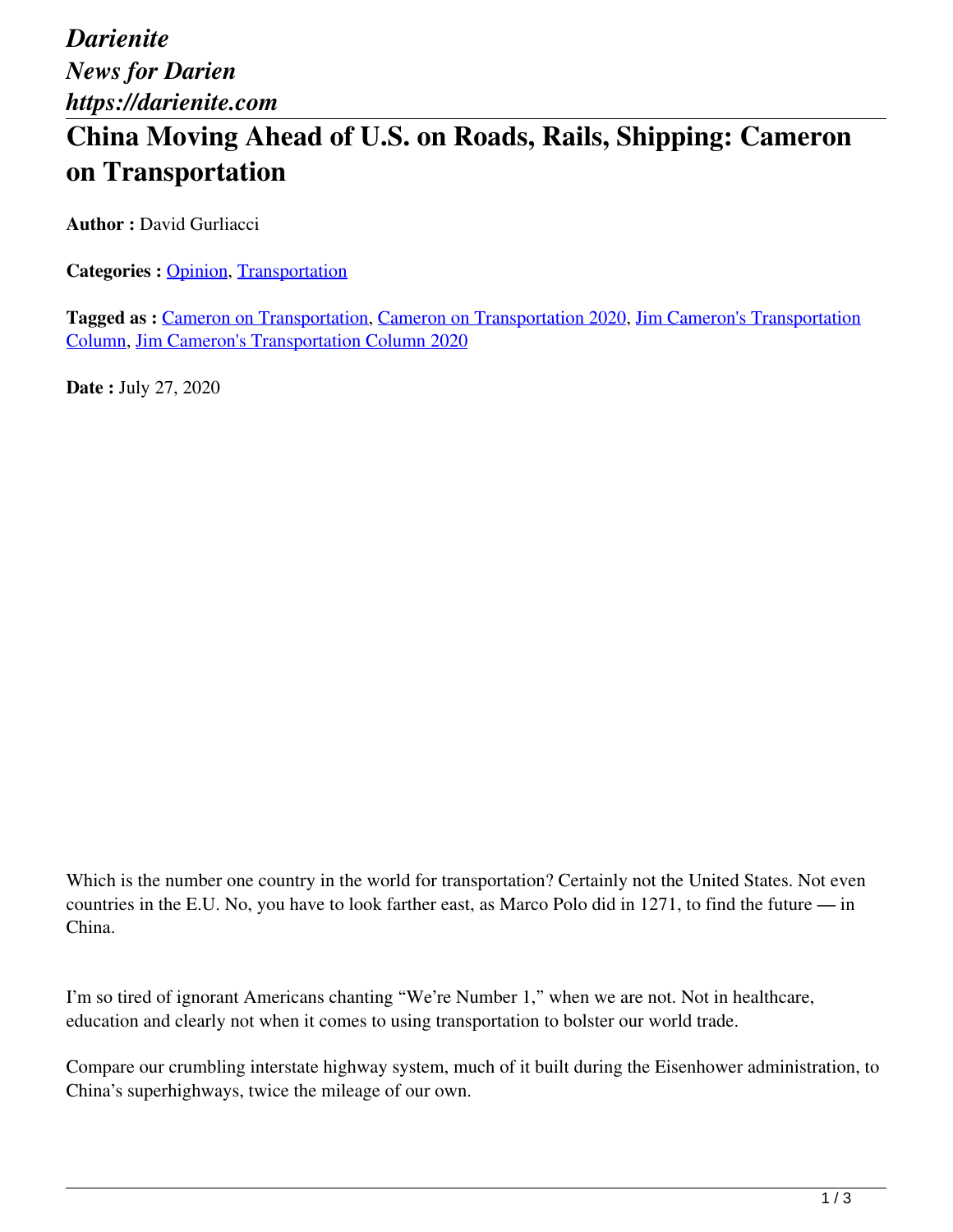*Darienite News for Darien https://darienite.com*

## **China Moving Ahead of U.S. on Roads, Rails, Shipping: Cameron on Transportation**

**Author : David Gurliacci** 

**Categories : [Opinion](https://darienite.com/category/opinion), Transportation** 

**Tagged as :** Cameron on Transportation, Cameron on Transportation 2020, Jim Cameron's Transportation Column, Jim Cameron's Transportation Column 2020

**Date :** July 27, 2020

Which is the number one country in the world for transportation? Certainly not the United States. Not even countries in the E.U. No, you have to look farther east, as Marco Polo did in 1271, to find the future — in China.

I'm so tired of ignorant Americans chanting "We're Number 1," when we are not. Not in healthcare, education and clearly not when it comes to using transportation to bolster our world trade.

Compare our crumbling interstate highway system, much of it built during the Eisenhower administration, to China's superhighways, twice the mileage of our own.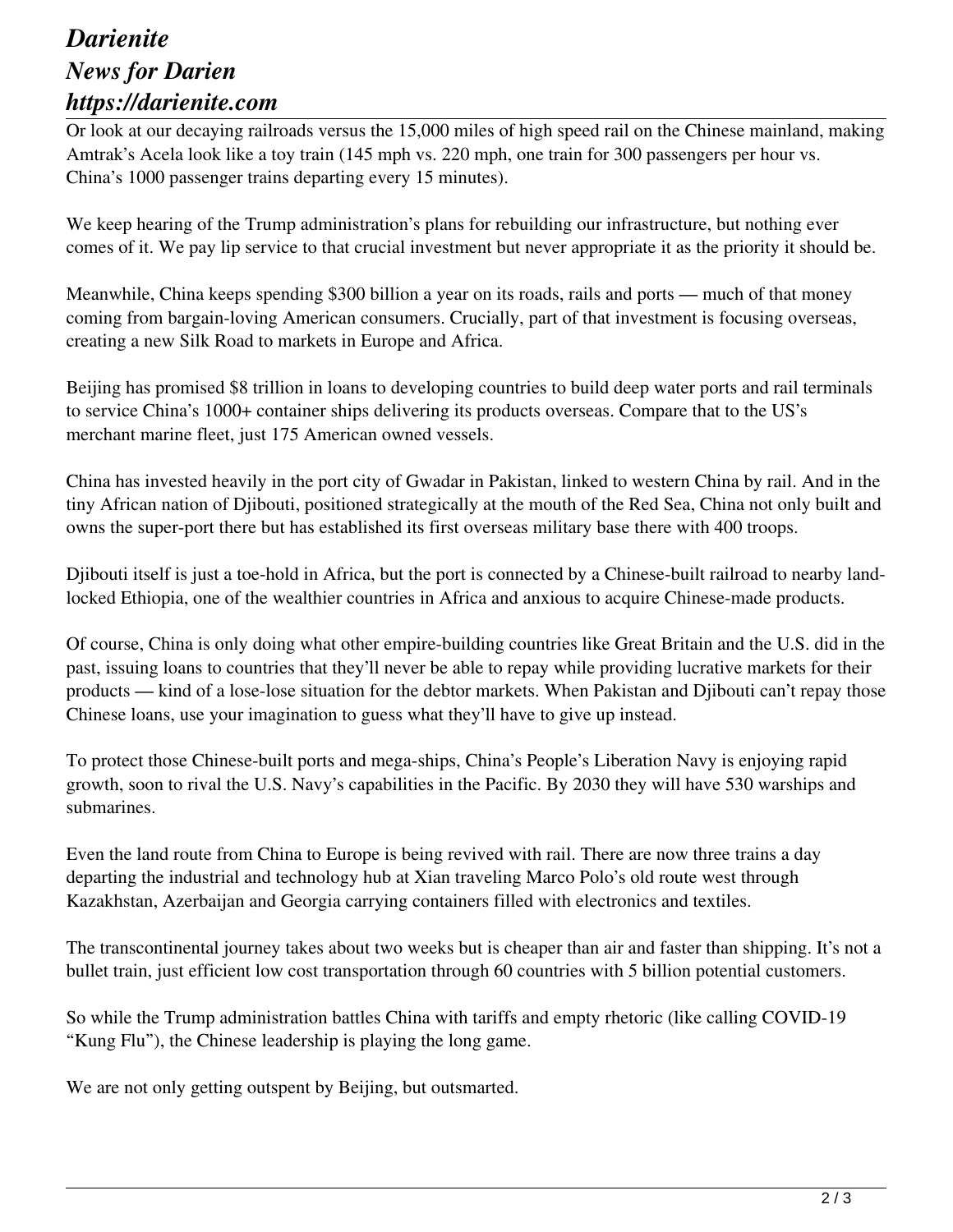## *Darienite News for Darien https://darienite.com*

Or look at our decaying railroads versus the 15,000 miles of high speed rail on the Chinese mainland, making Amtrak's Acela look like a toy train (145 mph vs. 220 mph, one train for 300 passengers per hour vs. China's 1000 passenger trains departing every 15 minutes).

We keep hearing of the Trump administration's plans for rebuilding our infrastructure, but nothing ever comes of it. We pay lip service to that crucial investment but never appropriate it as the priority it should be.

Meanwhile, China keeps spending \$300 billion a year on its roads, rails and ports — much of that money coming from bargain-loving American consumers. Crucially, part of that investment is focusing overseas, creating a new Silk Road to markets in Europe and Africa.

Beijing has promised \$8 trillion in loans to developing countries to build deep water ports and rail terminals to service China's 1000+ container ships delivering its products overseas. Compare that to the US's merchant marine fleet, just 175 American owned vessels.

China has invested heavily in the port city of Gwadar in Pakistan, linked to western China by rail. And in the tiny African nation of Djibouti, positioned strategically at the mouth of the Red Sea, China not only built and owns the super-port there but has established its first overseas military base there with 400 troops.

Djibouti itself is just a toe-hold in Africa, but the port is connected by a Chinese-built railroad to nearby landlocked Ethiopia, one of the wealthier countries in Africa and anxious to acquire Chinese-made products.

Of course, China is only doing what other empire-building countries like Great Britain and the U.S. did in the past, issuing loans to countries that they'll never be able to repay while providing lucrative markets for their products — kind of a lose-lose situation for the debtor markets. When Pakistan and Djibouti can't repay those Chinese loans, use your imagination to guess what they'll have to give up instead.

To protect those Chinese-built ports and mega-ships, China's People's Liberation Navy is enjoying rapid growth, soon to rival the U.S. Navy's capabilities in the Pacific. By 2030 they will have 530 warships and submarines.

Even the land route from China to Europe is being revived with rail. There are now three trains a day departing the industrial and technology hub at Xian traveling Marco Polo's old route west through Kazakhstan, Azerbaijan and Georgia carrying containers filled with electronics and textiles.

The transcontinental journey takes about two weeks but is cheaper than air and faster than shipping. It's not a bullet train, just efficient low cost transportation through 60 countries with 5 billion potential customers.

So while the Trump administration battles China with tariffs and empty rhetoric (like calling COVID-19 "Kung Flu"), the Chinese leadership is playing the long game.

We are not only getting outspent by Beijing, but outsmarted.